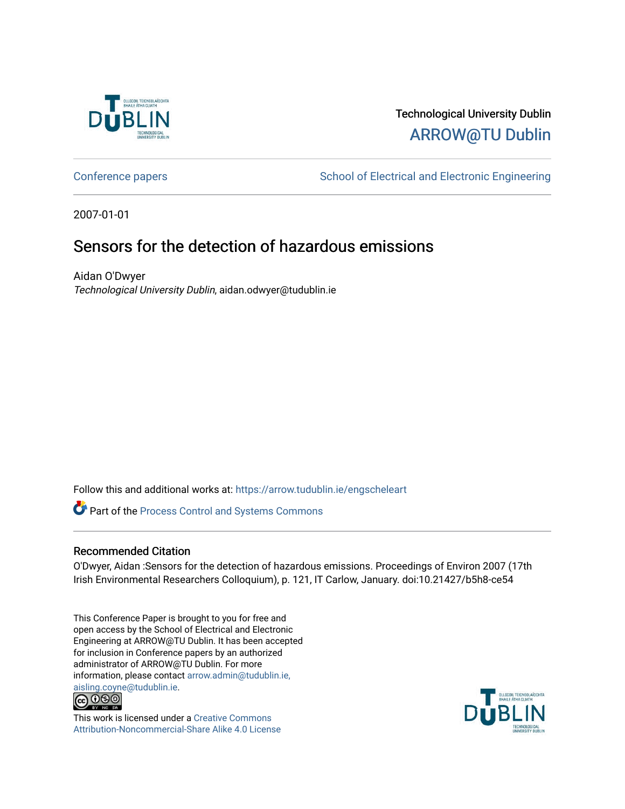

## Technological University Dublin [ARROW@TU Dublin](https://arrow.tudublin.ie/)

[Conference papers](https://arrow.tudublin.ie/engscheleart) **School of Electrical and Electronic Engineering** 

2007-01-01

## Sensors for the detection of hazardous emissions

Aidan O'Dwyer Technological University Dublin, aidan.odwyer@tudublin.ie

Follow this and additional works at: [https://arrow.tudublin.ie/engscheleart](https://arrow.tudublin.ie/engscheleart?utm_source=arrow.tudublin.ie%2Fengscheleart%2F84&utm_medium=PDF&utm_campaign=PDFCoverPages) 

Part of the [Process Control and Systems Commons](http://network.bepress.com/hgg/discipline/247?utm_source=arrow.tudublin.ie%2Fengscheleart%2F84&utm_medium=PDF&utm_campaign=PDFCoverPages) 

## Recommended Citation

O'Dwyer, Aidan :Sensors for the detection of hazardous emissions. Proceedings of Environ 2007 (17th Irish Environmental Researchers Colloquium), p. 121, IT Carlow, January. doi:10.21427/b5h8-ce54

This Conference Paper is brought to you for free and open access by the School of Electrical and Electronic Engineering at ARROW@TU Dublin. It has been accepted for inclusion in Conference papers by an authorized administrator of ARROW@TU Dublin. For more information, please contact [arrow.admin@tudublin.ie,](mailto:arrow.admin@tudublin.ie,%20aisling.coyne@tudublin.ie)  [aisling.coyne@tudublin.ie.](mailto:arrow.admin@tudublin.ie,%20aisling.coyne@tudublin.ie)<br>© 090



This work is licensed under a [Creative Commons](http://creativecommons.org/licenses/by-nc-sa/4.0/) [Attribution-Noncommercial-Share Alike 4.0 License](http://creativecommons.org/licenses/by-nc-sa/4.0/)